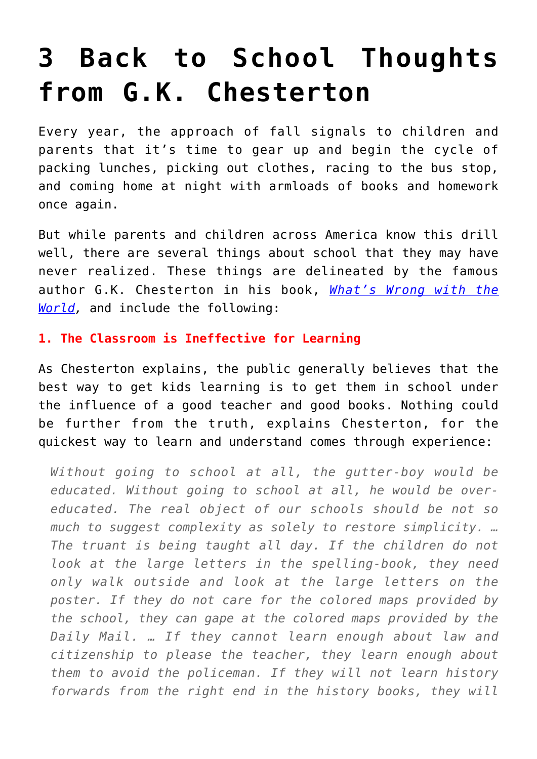## **[3 Back to School Thoughts](https://intellectualtakeout.org/2017/08/3-back-to-school-thoughts-from-g-k-chesterton/) [from G.K. Chesterton](https://intellectualtakeout.org/2017/08/3-back-to-school-thoughts-from-g-k-chesterton/)**

Every year, the approach of fall signals to children and parents that it's time to gear up and begin the cycle of packing lunches, picking out clothes, racing to the bus stop, and coming home at night with armloads of books and homework once again.

But while parents and children across America know this drill well, there are several things about school that they may have never realized. These things are delineated by the famous author G.K. Chesterton in his book, *[What's Wrong with the](https://www.amazon.com/gp/product/1619491834/ref=as_li_qf_sp_asin_il_tl?ie=UTF8&tag=intelltakeo0d-20&camp=1789&creative=9325&linkCode=as2&creativeASIN=1619491834&linkId=ef8ec4fee251fbc2641ea9723f3647f2) [World](https://www.amazon.com/gp/product/1619491834/ref=as_li_qf_sp_asin_il_tl?ie=UTF8&tag=intelltakeo0d-20&camp=1789&creative=9325&linkCode=as2&creativeASIN=1619491834&linkId=ef8ec4fee251fbc2641ea9723f3647f2),* and include the following:

## **1. The Classroom is Ineffective for Learning**

As Chesterton explains, the public generally believes that the best way to get kids learning is to get them in school under the influence of a good teacher and good books. Nothing could be further from the truth, explains Chesterton, for the quickest way to learn and understand comes through experience:

*Without going to school at all, the gutter-boy would be educated. Without going to school at all, he would be overeducated. The real object of our schools should be not so much to suggest complexity as solely to restore simplicity. … The truant is being taught all day. If the children do not look at the large letters in the spelling-book, they need only walk outside and look at the large letters on the poster. If they do not care for the colored maps provided by the school, they can gape at the colored maps provided by the Daily Mail. … If they cannot learn enough about law and citizenship to please the teacher, they learn enough about them to avoid the policeman. If they will not learn history forwards from the right end in the history books, they will*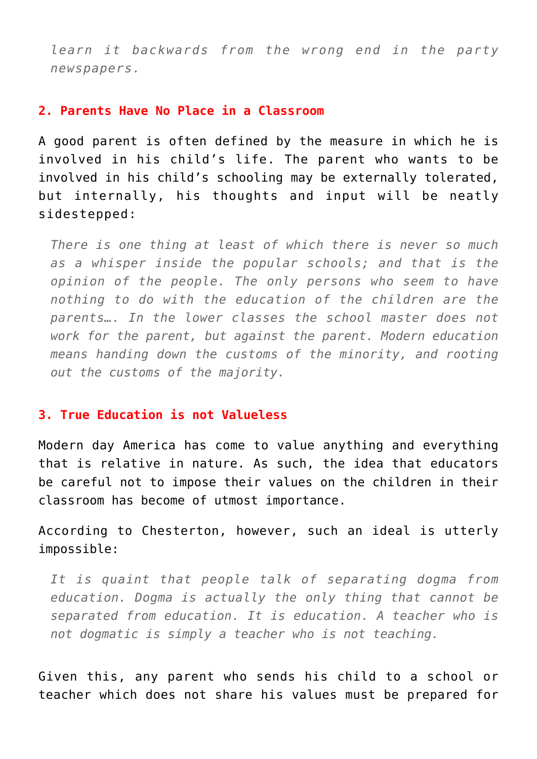*learn it backwards from the wrong end in the party newspapers.*

## **2. Parents Have No Place in a Classroom**

A good parent is often defined by the measure in which he is involved in his child's life. The parent who wants to be involved in his child's schooling may be externally tolerated, but internally, his thoughts and input will be neatly sidestepped:

*There is one thing at least of which there is never so much as a whisper inside the popular schools; and that is the opinion of the people. The only persons who seem to have nothing to do with the education of the children are the parents…. In the lower classes the school master does not work for the parent, but against the parent. Modern education means handing down the customs of the minority, and rooting out the customs of the majority.*

## **3. True Education is not Valueless**

Modern day America has come to value anything and everything that is relative in nature. As such, the idea that educators be careful not to impose their values on the children in their classroom has become of utmost importance.

According to Chesterton, however, such an ideal is utterly impossible:

*It is quaint that people talk of separating dogma from education. Dogma is actually the only thing that cannot be separated from education. It is education. A teacher who is not dogmatic is simply a teacher who is not teaching.*

Given this, any parent who sends his child to a school or teacher which does not share his values must be prepared for